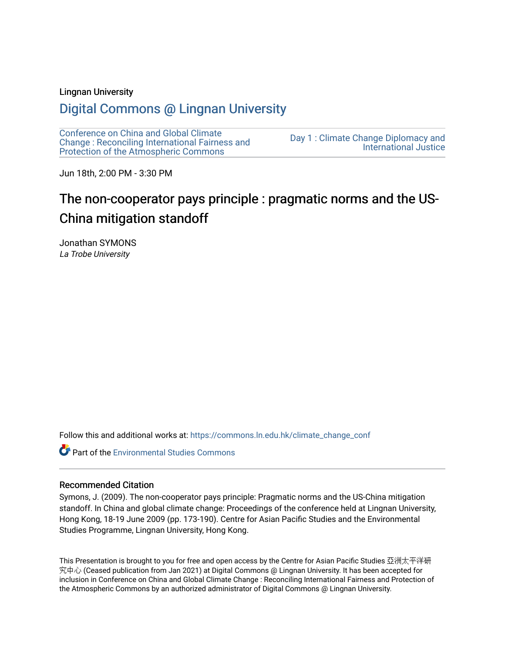#### Lingnan University

# [Digital Commons @ Lingnan University](https://commons.ln.edu.hk/)

[Conference on China and Global Climate](https://commons.ln.edu.hk/climate_change_conf)  [Change : Reconciling International Fairness and](https://commons.ln.edu.hk/climate_change_conf)  [Protection of the Atmospheric Commons](https://commons.ln.edu.hk/climate_change_conf)

[Day 1 : Climate Change Diplomacy and](https://commons.ln.edu.hk/climate_change_conf/day1)  [International Justice](https://commons.ln.edu.hk/climate_change_conf/day1) 

Jun 18th, 2:00 PM - 3:30 PM

# The non-cooperator pays principle : pragmatic norms and the US-China mitigation standoff

Jonathan SYMONS La Trobe University

Follow this and additional works at: [https://commons.ln.edu.hk/climate\\_change\\_conf](https://commons.ln.edu.hk/climate_change_conf?utm_source=commons.ln.edu.hk%2Fclimate_change_conf%2Fday1%2Fs3%2F1&utm_medium=PDF&utm_campaign=PDFCoverPages) 

**Part of the [Environmental Studies Commons](https://network.bepress.com/hgg/discipline/1333?utm_source=commons.ln.edu.hk%2Fclimate_change_conf%2Fday1%2Fs3%2F1&utm_medium=PDF&utm_campaign=PDFCoverPages)** 

#### Recommended Citation

Symons, J. (2009). The non-cooperator pays principle: Pragmatic norms and the US-China mitigation standoff. In China and global climate change: Proceedings of the conference held at Lingnan University, Hong Kong, 18-19 June 2009 (pp. 173-190). Centre for Asian Pacific Studies and the Environmental Studies Programme, Lingnan University, Hong Kong.

This Presentation is brought to you for free and open access by the Centre for Asian Pacific Studies 亞洲太平洋研 究中心 (Ceased publication from Jan 2021) at Digital Commons @ Lingnan University. It has been accepted for inclusion in Conference on China and Global Climate Change : Reconciling International Fairness and Protection of the Atmospheric Commons by an authorized administrator of Digital Commons @ Lingnan University.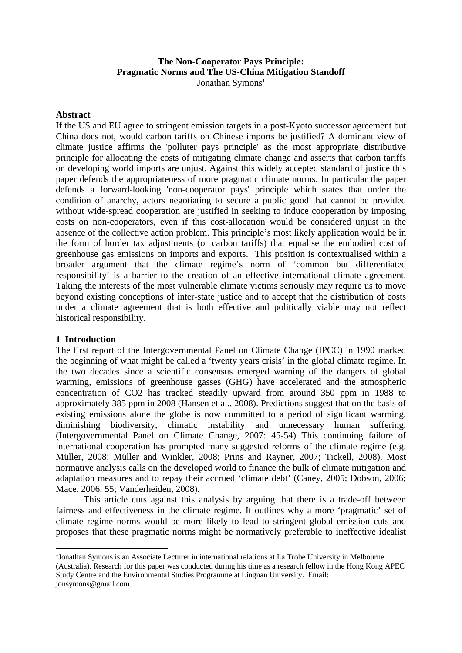# **The Non-Cooperator Pays Principle: Pragmatic Norms and The US-China Mitigation Standoff** Jonathan Symons<sup>1</sup>

#### **Abstract**

If the US and EU agree to stringent emission targets in a post-Kyoto successor agreement but China does not, would carbon tariffs on Chinese imports be justified? A dominant view of climate justice affirms the 'polluter pays principle' as the most appropriate distributive principle for allocating the costs of mitigating climate change and asserts that carbon tariffs on developing world imports are unjust. Against this widely accepted standard of justice this paper defends the appropriateness of more pragmatic climate norms. In particular the paper defends a forward-looking 'non-cooperator pays' principle which states that under the condition of anarchy, actors negotiating to secure a public good that cannot be provided without wide-spread cooperation are justified in seeking to induce cooperation by imposing costs on non-cooperators, even if this cost-allocation would be considered unjust in the absence of the collective action problem. This principle's most likely application would be in the form of border tax adjustments (or carbon tariffs) that equalise the embodied cost of greenhouse gas emissions on imports and exports. This position is contextualised within a broader argument that the climate regime's norm of 'common but differentiated responsibility' is a barrier to the creation of an effective international climate agreement. Taking the interests of the most vulnerable climate victims seriously may require us to move beyond existing conceptions of inter-state justice and to accept that the distribution of costs under a climate agreement that is both effective and politically viable may not reflect historical responsibility.

# **1 Introduction**

1

The first report of the Intergovernmental Panel on Climate Change (IPCC) in 1990 marked the beginning of what might be called a 'twenty years crisis' in the global climate regime. In the two decades since a scientific consensus emerged warning of the dangers of global warming, emissions of greenhouse gasses (GHG) have accelerated and the atmospheric concentration of CO2 has tracked steadily upward from around 350 ppm in 1988 to approximately 385 ppm in 2008 (Hansen et al., 2008). Predictions suggest that on the basis of existing emissions alone the globe is now committed to a period of significant warming, diminishing biodiversity, climatic instability and unnecessary human suffering. (Intergovernmental Panel on Climate Change, 2007: 45-54) This continuing failure of international cooperation has prompted many suggested reforms of the climate regime (e.g. Müller, 2008; Müller and Winkler, 2008; Prins and Rayner, 2007; Tickell, 2008). Most normative analysis calls on the developed world to finance the bulk of climate mitigation and adaptation measures and to repay their accrued 'climate debt' (Caney, 2005; Dobson, 2006; Mace, 2006: 55; Vanderheiden, 2008).

This article cuts against this analysis by arguing that there is a trade-off between fairness and effectiveness in the climate regime. It outlines why a more 'pragmatic' set of climate regime norms would be more likely to lead to stringent global emission cuts and proposes that these pragmatic norms might be normatively preferable to ineffective idealist

<sup>&</sup>lt;sup>1</sup>Jonathan Symons is an Associate Lecturer in international relations at La Trobe University in Melbourne (Australia). Research for this paper was conducted during his time as a research fellow in the Hong Kong APEC Study Centre and the Environmental Studies Programme at Lingnan University. Email: jonsymons@gmail.com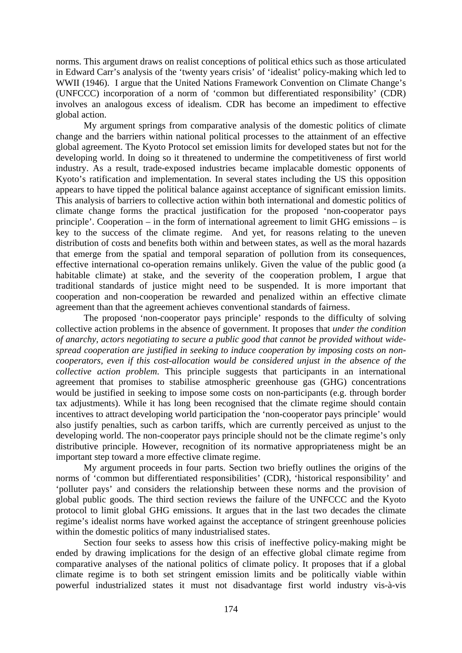norms. This argument draws on realist conceptions of political ethics such as those articulated in Edward Carr's analysis of the 'twenty years crisis' of 'idealist' policy-making which led to WWII (1946). I argue that the United Nations Framework Convention on Climate Change's (UNFCCC) incorporation of a norm of 'common but differentiated responsibility' (CDR) involves an analogous excess of idealism. CDR has become an impediment to effective global action.

My argument springs from comparative analysis of the domestic politics of climate change and the barriers within national political processes to the attainment of an effective global agreement. The Kyoto Protocol set emission limits for developed states but not for the developing world. In doing so it threatened to undermine the competitiveness of first world industry. As a result, trade-exposed industries became implacable domestic opponents of Kyoto's ratification and implementation. In several states including the US this opposition appears to have tipped the political balance against acceptance of significant emission limits. This analysis of barriers to collective action within both international and domestic politics of climate change forms the practical justification for the proposed 'non-cooperator pays principle'. Cooperation – in the form of international agreement to limit GHG emissions – is key to the success of the climate regime. And yet, for reasons relating to the uneven distribution of costs and benefits both within and between states, as well as the moral hazards that emerge from the spatial and temporal separation of pollution from its consequences, effective international co-operation remains unlikely. Given the value of the public good (a habitable climate) at stake, and the severity of the cooperation problem, I argue that traditional standards of justice might need to be suspended. It is more important that cooperation and non-cooperation be rewarded and penalized within an effective climate agreement than that the agreement achieves conventional standards of fairness.

The proposed 'non-cooperator pays principle' responds to the difficulty of solving collective action problems in the absence of government. It proposes that *under the condition of anarchy, actors negotiating to secure a public good that cannot be provided without widespread cooperation are justified in seeking to induce cooperation by imposing costs on noncooperators, even if this cost-allocation would be considered unjust in the absence of the collective action problem*. This principle suggests that participants in an international agreement that promises to stabilise atmospheric greenhouse gas (GHG) concentrations would be justified in seeking to impose some costs on non-participants (e.g. through border tax adjustments). While it has long been recognised that the climate regime should contain incentives to attract developing world participation the 'non-cooperator pays principle' would also justify penalties, such as carbon tariffs, which are currently perceived as unjust to the developing world. The non-cooperator pays principle should not be the climate regime's only distributive principle. However, recognition of its normative appropriateness might be an important step toward a more effective climate regime.

My argument proceeds in four parts. Section two briefly outlines the origins of the norms of 'common but differentiated responsibilities' (CDR), 'historical responsibility' and 'polluter pays' and considers the relationship between these norms and the provision of global public goods. The third section reviews the failure of the UNFCCC and the Kyoto protocol to limit global GHG emissions. It argues that in the last two decades the climate regime's idealist norms have worked against the acceptance of stringent greenhouse policies within the domestic politics of many industrialised states.

Section four seeks to assess how this crisis of ineffective policy-making might be ended by drawing implications for the design of an effective global climate regime from comparative analyses of the national politics of climate policy. It proposes that if a global climate regime is to both set stringent emission limits and be politically viable within powerful industrialized states it must not disadvantage first world industry vis-à-vis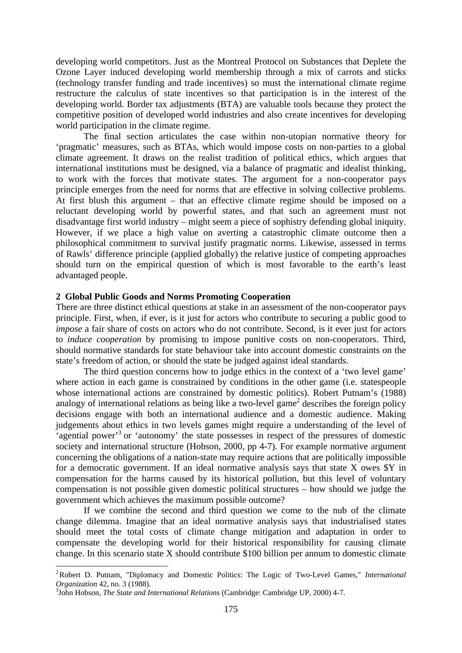developing world competitors. Just as the Montreal Protocol on Substances that Deplete the Ozone Layer induced developing world membership through a mix of carrots and sticks (technology transfer funding and trade incentives) so must the international climate regime restructure the calculus of state incentives so that participation is in the interest of the developing world. Border tax adjustments (BTA) are valuable tools because they protect the competitive position of developed world industries and also create incentives for developing world participation in the climate regime.

The final section articulates the case within non-utopian normative theory for 'pragmatic' measures, such as BTAs, which would impose costs on non-parties to a global climate agreement. It draws on the realist tradition of political ethics, which argues that international institutions must be designed, via a balance of pragmatic and idealist thinking, to work with the forces that motivate states. The argument for a non-cooperator pays principle emerges from the need for norms that are effective in solving collective problems. At first blush this argument – that an effective climate regime should be imposed on a reluctant developing world by powerful states, and that such an agreement must not disadvantage first world industry – might seem a piece of sophistry defending global iniquity. However, if we place a high value on averting a catastrophic climate outcome then a philosophical commitment to survival justify pragmatic norms. Likewise, assessed in terms of Rawls' difference principle (applied globally) the relative justice of competing approaches should turn on the empirical question of which is most favorable to the earth's least advantaged people.

#### **2 Global Public Goods and Norms Promoting Cooperation**

There are three distinct ethical questions at stake in an assessment of the non-cooperator pays principle. First, when, if ever, is it just for actors who contribute to securing a public good to *impose* a fair share of costs on actors who do not contribute. Second, is it ever just for actors to *induce cooperation* by promising to impose punitive costs on non-cooperators. Third, should normative standards for state behaviour take into account domestic constraints on the state's freedom of action, or should the state be judged against ideal standards.

The third question concerns how to judge ethics in the context of a 'two level game' where action in each game is constrained by conditions in the other game (i.e. statespeople whose international actions are constrained by domestic politics). Robert Putnam's (1988) analogy of international relations as being like a two-level game<sup>2</sup> describes the foreign policy decisions engage with both an international audience and a domestic audience. Making judgements about ethics in two levels games might require a understanding of the level of 'agential power'<sup>3</sup> or 'autonomy' the state possesses in respect of the pressures of domestic society and international structure (Hobson, 2000, pp 4-7). For example normative argument concerning the obligations of a nation-state may require actions that are politically impossible for a democratic government. If an ideal normative analysis says that state X owes \$Y in compensation for the harms caused by its historical pollution, but this level of voluntary compensation is not possible given domestic political structures – how should we judge the government which achieves the maximum possible outcome?

If we combine the second and third question we come to the nub of the climate change dilemma. Imagine that an ideal normative analysis says that industrialised states should meet the total costs of climate change mitigation and adaptation in order to compensate the developing world for their historical responsibility for causing climate change. In this scenario state X should contribute \$100 billion per annum to domestic climate

1

<sup>2</sup>Robert D. Putnam, "Diplomacy and Domestic Politics: The Logic of Two-Level Games," *International Organization* 42, no. 3 (1988).

John Hobson, *The State and International Relations* (Cambridge: Cambridge UP, 2000) 4-7.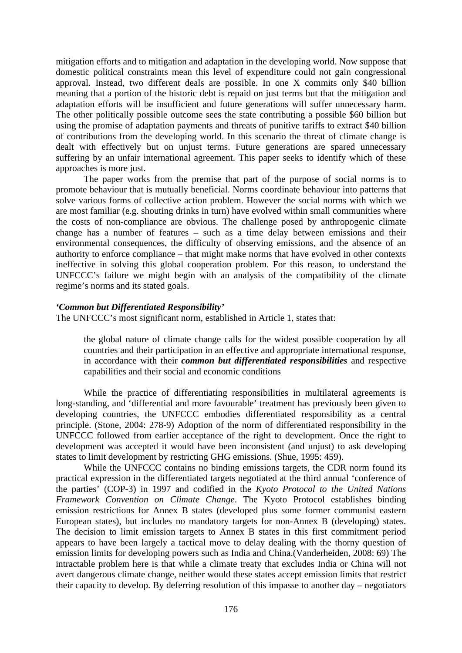mitigation efforts and to mitigation and adaptation in the developing world. Now suppose that domestic political constraints mean this level of expenditure could not gain congressional approval. Instead, two different deals are possible. In one X commits only \$40 billion meaning that a portion of the historic debt is repaid on just terms but that the mitigation and adaptation efforts will be insufficient and future generations will suffer unnecessary harm. The other politically possible outcome sees the state contributing a possible \$60 billion but using the promise of adaptation payments and threats of punitive tariffs to extract \$40 billion of contributions from the developing world. In this scenario the threat of climate change is dealt with effectively but on unjust terms. Future generations are spared unnecessary suffering by an unfair international agreement. This paper seeks to identify which of these approaches is more just.

The paper works from the premise that part of the purpose of social norms is to promote behaviour that is mutually beneficial. Norms coordinate behaviour into patterns that solve various forms of collective action problem. However the social norms with which we are most familiar (e.g. shouting drinks in turn) have evolved within small communities where the costs of non-compliance are obvious. The challenge posed by anthropogenic climate change has a number of features – such as a time delay between emissions and their environmental consequences, the difficulty of observing emissions, and the absence of an authority to enforce compliance – that might make norms that have evolved in other contexts ineffective in solving this global cooperation problem. For this reason, to understand the UNFCCC's failure we might begin with an analysis of the compatibility of the climate regime's norms and its stated goals.

#### *'Common but Differentiated Responsibility'*

The UNFCCC's most significant norm, established in Article 1, states that:

the global nature of climate change calls for the widest possible cooperation by all countries and their participation in an effective and appropriate international response, in accordance with their *common but differentiated responsibilities* and respective capabilities and their social and economic conditions

 While the practice of differentiating responsibilities in multilateral agreements is long-standing, and 'differential and more favourable' treatment has previously been given to developing countries, the UNFCCC embodies differentiated responsibility as a central principle. (Stone, 2004: 278-9) Adoption of the norm of differentiated responsibility in the UNFCCC followed from earlier acceptance of the right to development. Once the right to development was accepted it would have been inconsistent (and unjust) to ask developing states to limit development by restricting GHG emissions. (Shue, 1995: 459).

While the UNFCCC contains no binding emissions targets, the CDR norm found its practical expression in the differentiated targets negotiated at the third annual 'conference of the parties' (COP-3) in 1997 and codified in the *Kyoto Protocol to the United Nations Framework Convention on Climate Change*. The Kyoto Protocol establishes binding emission restrictions for Annex B states (developed plus some former communist eastern European states), but includes no mandatory targets for non-Annex B (developing) states. The decision to limit emission targets to Annex B states in this first commitment period appears to have been largely a tactical move to delay dealing with the thorny question of emission limits for developing powers such as India and China.(Vanderheiden, 2008: 69) The intractable problem here is that while a climate treaty that excludes India or China will not avert dangerous climate change, neither would these states accept emission limits that restrict their capacity to develop. By deferring resolution of this impasse to another day – negotiators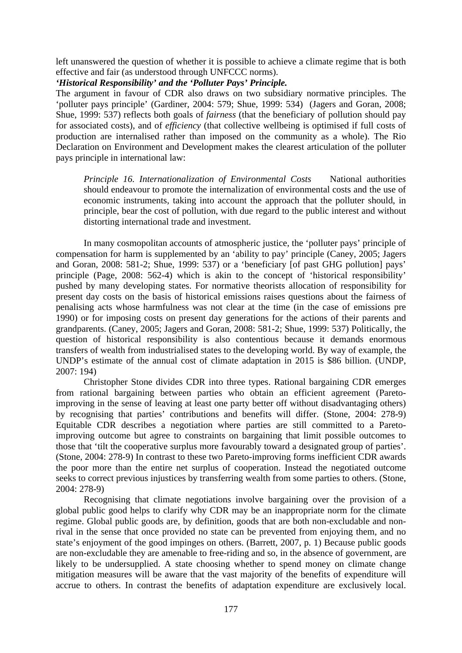left unanswered the question of whether it is possible to achieve a climate regime that is both effective and fair (as understood through UNFCCC norms).

# *'Historical Responsibility' and the 'Polluter Pays' Principle.*

The argument in favour of CDR also draws on two subsidiary normative principles. The 'polluter pays principle' (Gardiner, 2004: 579; Shue, 1999: 534) (Jagers and Goran, 2008; Shue, 1999: 537) reflects both goals of *fairness* (that the beneficiary of pollution should pay for associated costs), and of *efficiency* (that collective wellbeing is optimised if full costs of production are internalised rather than imposed on the community as a whole). The Rio Declaration on Environment and Development makes the clearest articulation of the polluter pays principle in international law:

*Principle 16. Internationalization of Environmental Costs* National authorities should endeavour to promote the internalization of environmental costs and the use of economic instruments, taking into account the approach that the polluter should, in principle, bear the cost of pollution, with due regard to the public interest and without distorting international trade and investment.

 In many cosmopolitan accounts of atmospheric justice, the 'polluter pays' principle of compensation for harm is supplemented by an 'ability to pay' principle (Caney, 2005; Jagers and Goran, 2008: 581-2; Shue, 1999: 537) or a 'beneficiary [of past GHG pollution] pays' principle (Page, 2008: 562-4) which is akin to the concept of 'historical responsibility' pushed by many developing states. For normative theorists allocation of responsibility for present day costs on the basis of historical emissions raises questions about the fairness of penalising acts whose harmfulness was not clear at the time (in the case of emissions pre 1990) or for imposing costs on present day generations for the actions of their parents and grandparents. (Caney, 2005; Jagers and Goran, 2008: 581-2; Shue, 1999: 537) Politically, the question of historical responsibility is also contentious because it demands enormous transfers of wealth from industrialised states to the developing world. By way of example, the UNDP's estimate of the annual cost of climate adaptation in 2015 is \$86 billion. (UNDP, 2007: 194)

Christopher Stone divides CDR into three types. Rational bargaining CDR emerges from rational bargaining between parties who obtain an efficient agreement (Paretoimproving in the sense of leaving at least one party better off without disadvantaging others) by recognising that parties' contributions and benefits will differ. (Stone, 2004: 278-9) Equitable CDR describes a negotiation where parties are still committed to a Paretoimproving outcome but agree to constraints on bargaining that limit possible outcomes to those that 'tilt the cooperative surplus more favourably toward a designated group of parties'. (Stone, 2004: 278-9) In contrast to these two Pareto-improving forms inefficient CDR awards the poor more than the entire net surplus of cooperation. Instead the negotiated outcome seeks to correct previous injustices by transferring wealth from some parties to others. (Stone, 2004: 278-9)

Recognising that climate negotiations involve bargaining over the provision of a global public good helps to clarify why CDR may be an inappropriate norm for the climate regime. Global public goods are, by definition, goods that are both non-excludable and nonrival in the sense that once provided no state can be prevented from enjoying them, and no state's enjoyment of the good impinges on others. (Barrett, 2007, p. 1) Because public goods are non-excludable they are amenable to free-riding and so, in the absence of government, are likely to be undersupplied. A state choosing whether to spend money on climate change mitigation measures will be aware that the vast majority of the benefits of expenditure will accrue to others. In contrast the benefits of adaptation expenditure are exclusively local.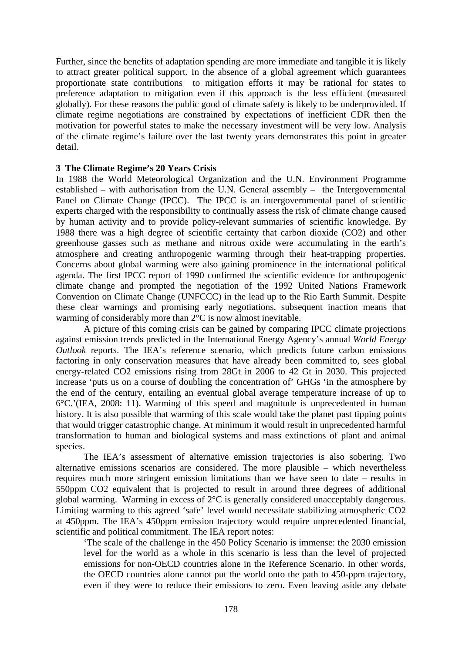Further, since the benefits of adaptation spending are more immediate and tangible it is likely to attract greater political support. In the absence of a global agreement which guarantees proportionate state contributions to mitigation efforts it may be rational for states to preference adaptation to mitigation even if this approach is the less efficient (measured globally). For these reasons the public good of climate safety is likely to be underprovided. If climate regime negotiations are constrained by expectations of inefficient CDR then the motivation for powerful states to make the necessary investment will be very low. Analysis of the climate regime's failure over the last twenty years demonstrates this point in greater detail.

# **3 The Climate Regime's 20 Years Crisis**

In 1988 the World Meteorological Organization and the U.N. Environment Programme established – with authorisation from the U.N. General assembly – the Intergovernmental Panel on Climate Change (IPCC). The IPCC is an intergovernmental panel of scientific experts charged with the responsibility to continually assess the risk of climate change caused by human activity and to provide policy-relevant summaries of scientific knowledge. By 1988 there was a high degree of scientific certainty that carbon dioxide (CO2) and other greenhouse gasses such as methane and nitrous oxide were accumulating in the earth's atmosphere and creating anthropogenic warming through their heat-trapping properties. Concerns about global warming were also gaining prominence in the international political agenda. The first IPCC report of 1990 confirmed the scientific evidence for anthropogenic climate change and prompted the negotiation of the 1992 United Nations Framework Convention on Climate Change (UNFCCC) in the lead up to the Rio Earth Summit. Despite these clear warnings and promising early negotiations, subsequent inaction means that warming of considerably more than 2°C is now almost inevitable.

A picture of this coming crisis can be gained by comparing IPCC climate projections against emission trends predicted in the International Energy Agency's annual *World Energy Outlook* reports. The IEA's reference scenario, which predicts future carbon emissions factoring in only conservation measures that have already been committed to, sees global energy-related CO2 emissions rising from 28Gt in 2006 to 42 Gt in 2030. This projected increase 'puts us on a course of doubling the concentration of' GHGs 'in the atmosphere by the end of the century, entailing an eventual global average temperature increase of up to 6°C.'(IEA, 2008: 11). Warming of this speed and magnitude is unprecedented in human history. It is also possible that warming of this scale would take the planet past tipping points that would trigger catastrophic change. At minimum it would result in unprecedented harmful transformation to human and biological systems and mass extinctions of plant and animal species.

The IEA's assessment of alternative emission trajectories is also sobering. Two alternative emissions scenarios are considered. The more plausible – which nevertheless requires much more stringent emission limitations than we have seen to date – results in 550ppm CO2 equivalent that is projected to result in around three degrees of additional global warming. Warming in excess of 2°C is generally considered unacceptably dangerous. Limiting warming to this agreed 'safe' level would necessitate stabilizing atmospheric CO2 at 450ppm. The IEA's 450ppm emission trajectory would require unprecedented financial, scientific and political commitment. The IEA report notes:

'The scale of the challenge in the 450 Policy Scenario is immense: the 2030 emission level for the world as a whole in this scenario is less than the level of projected emissions for non-OECD countries alone in the Reference Scenario. In other words, the OECD countries alone cannot put the world onto the path to 450-ppm trajectory, even if they were to reduce their emissions to zero. Even leaving aside any debate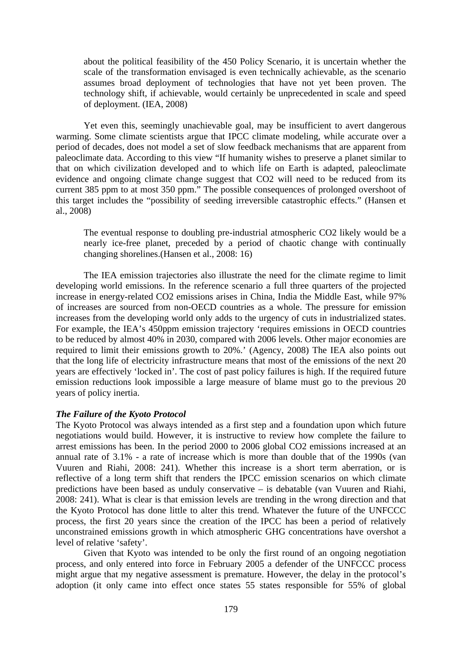about the political feasibility of the 450 Policy Scenario, it is uncertain whether the scale of the transformation envisaged is even technically achievable, as the scenario assumes broad deployment of technologies that have not yet been proven. The technology shift, if achievable, would certainly be unprecedented in scale and speed of deployment. (IEA, 2008)

 Yet even this, seemingly unachievable goal, may be insufficient to avert dangerous warming. Some climate scientists argue that IPCC climate modeling, while accurate over a period of decades, does not model a set of slow feedback mechanisms that are apparent from paleoclimate data. According to this view "If humanity wishes to preserve a planet similar to that on which civilization developed and to which life on Earth is adapted, paleoclimate evidence and ongoing climate change suggest that CO2 will need to be reduced from its current 385 ppm to at most 350 ppm." The possible consequences of prolonged overshoot of this target includes the "possibility of seeding irreversible catastrophic effects." (Hansen et al., 2008)

The eventual response to doubling pre-industrial atmospheric CO2 likely would be a nearly ice-free planet, preceded by a period of chaotic change with continually changing shorelines.(Hansen et al., 2008: 16)

 The IEA emission trajectories also illustrate the need for the climate regime to limit developing world emissions. In the reference scenario a full three quarters of the projected increase in energy-related CO2 emissions arises in China, India the Middle East, while 97% of increases are sourced from non-OECD countries as a whole. The pressure for emission increases from the developing world only adds to the urgency of cuts in industrialized states. For example, the IEA's 450ppm emission trajectory 'requires emissions in OECD countries to be reduced by almost 40% in 2030, compared with 2006 levels. Other major economies are required to limit their emissions growth to 20%.' (Agency, 2008) The IEA also points out that the long life of electricity infrastructure means that most of the emissions of the next 20 years are effectively 'locked in'. The cost of past policy failures is high. If the required future emission reductions look impossible a large measure of blame must go to the previous 20 years of policy inertia.

#### *The Failure of the Kyoto Protocol*

The Kyoto Protocol was always intended as a first step and a foundation upon which future negotiations would build. However, it is instructive to review how complete the failure to arrest emissions has been. In the period 2000 to 2006 global CO2 emissions increased at an annual rate of 3.1% - a rate of increase which is more than double that of the 1990s (van Vuuren and Riahi, 2008: 241). Whether this increase is a short term aberration, or is reflective of a long term shift that renders the IPCC emission scenarios on which climate predictions have been based as unduly conservative – is debatable (van Vuuren and Riahi, 2008: 241). What is clear is that emission levels are trending in the wrong direction and that the Kyoto Protocol has done little to alter this trend. Whatever the future of the UNFCCC process, the first 20 years since the creation of the IPCC has been a period of relatively unconstrained emissions growth in which atmospheric GHG concentrations have overshot a level of relative 'safety'.

Given that Kyoto was intended to be only the first round of an ongoing negotiation process, and only entered into force in February 2005 a defender of the UNFCCC process might argue that my negative assessment is premature. However, the delay in the protocol's adoption (it only came into effect once states 55 states responsible for 55% of global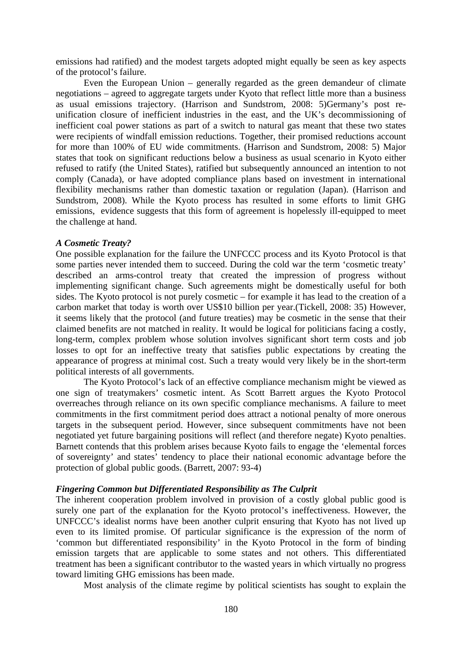emissions had ratified) and the modest targets adopted might equally be seen as key aspects of the protocol's failure.

Even the European Union – generally regarded as the green demandeur of climate negotiations – agreed to aggregate targets under Kyoto that reflect little more than a business as usual emissions trajectory. (Harrison and Sundstrom, 2008: 5)Germany's post reunification closure of inefficient industries in the east, and the UK's decommissioning of inefficient coal power stations as part of a switch to natural gas meant that these two states were recipients of windfall emission reductions. Together, their promised reductions account for more than 100% of EU wide commitments. (Harrison and Sundstrom, 2008: 5) Major states that took on significant reductions below a business as usual scenario in Kyoto either refused to ratify (the United States), ratified but subsequently announced an intention to not comply (Canada), or have adopted compliance plans based on investment in international flexibility mechanisms rather than domestic taxation or regulation (Japan). (Harrison and Sundstrom, 2008). While the Kyoto process has resulted in some efforts to limit GHG emissions, evidence suggests that this form of agreement is hopelessly ill-equipped to meet the challenge at hand.

#### *A Cosmetic Treaty?*

One possible explanation for the failure the UNFCCC process and its Kyoto Protocol is that some parties never intended them to succeed. During the cold war the term 'cosmetic treaty' described an arms-control treaty that created the impression of progress without implementing significant change. Such agreements might be domestically useful for both sides. The Kyoto protocol is not purely cosmetic – for example it has lead to the creation of a carbon market that today is worth over US\$10 billion per year.(Tickell, 2008: 35) However, it seems likely that the protocol (and future treaties) may be cosmetic in the sense that their claimed benefits are not matched in reality. It would be logical for politicians facing a costly, long-term, complex problem whose solution involves significant short term costs and job losses to opt for an ineffective treaty that satisfies public expectations by creating the appearance of progress at minimal cost. Such a treaty would very likely be in the short-term political interests of all governments.

The Kyoto Protocol's lack of an effective compliance mechanism might be viewed as one sign of treatymakers' cosmetic intent. As Scott Barrett argues the Kyoto Protocol overreaches through reliance on its own specific compliance mechanisms. A failure to meet commitments in the first commitment period does attract a notional penalty of more onerous targets in the subsequent period. However, since subsequent commitments have not been negotiated yet future bargaining positions will reflect (and therefore negate) Kyoto penalties. Barnett contends that this problem arises because Kyoto fails to engage the 'elemental forces of sovereignty' and states' tendency to place their national economic advantage before the protection of global public goods. (Barrett, 2007: 93-4)

#### *Fingering Common but Differentiated Responsibility as The Culprit*

The inherent cooperation problem involved in provision of a costly global public good is surely one part of the explanation for the Kyoto protocol's ineffectiveness. However, the UNFCCC's idealist norms have been another culprit ensuring that Kyoto has not lived up even to its limited promise. Of particular significance is the expression of the norm of 'common but differentiated responsibility' in the Kyoto Protocol in the form of binding emission targets that are applicable to some states and not others. This differentiated treatment has been a significant contributor to the wasted years in which virtually no progress toward limiting GHG emissions has been made.

Most analysis of the climate regime by political scientists has sought to explain the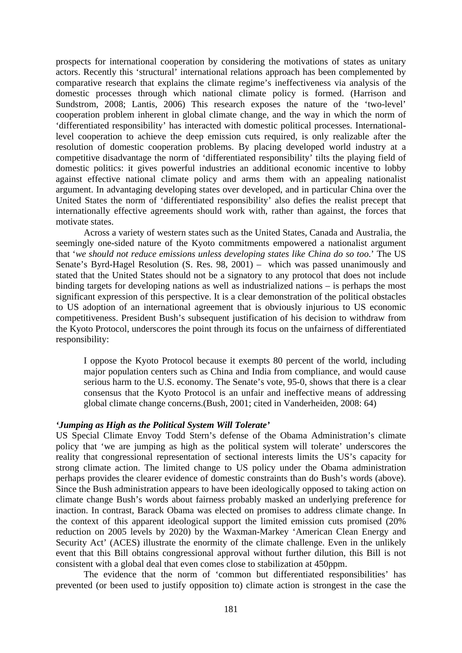prospects for international cooperation by considering the motivations of states as unitary actors. Recently this 'structural' international relations approach has been complemented by comparative research that explains the climate regime's ineffectiveness via analysis of the domestic processes through which national climate policy is formed. (Harrison and Sundstrom, 2008; Lantis, 2006) This research exposes the nature of the 'two-level' cooperation problem inherent in global climate change, and the way in which the norm of 'differentiated responsibility' has interacted with domestic political processes. Internationallevel cooperation to achieve the deep emission cuts required, is only realizable after the resolution of domestic cooperation problems. By placing developed world industry at a competitive disadvantage the norm of 'differentiated responsibility' tilts the playing field of domestic politics: it gives powerful industries an additional economic incentive to lobby against effective national climate policy and arms them with an appealing nationalist argument. In advantaging developing states over developed, and in particular China over the United States the norm of 'differentiated responsibility' also defies the realist precept that internationally effective agreements should work with, rather than against, the forces that motivate states.

Across a variety of western states such as the United States, Canada and Australia, the seemingly one-sided nature of the Kyoto commitments empowered a nationalist argument that '*we should not reduce emissions unless developing states like China do so too*.' The US Senate's Byrd-Hagel Resolution (S. Res. 98, 2001) – which was passed unanimously and stated that the United States should not be a signatory to any protocol that does not include binding targets for developing nations as well as industrialized nations – is perhaps the most significant expression of this perspective. It is a clear demonstration of the political obstacles to US adoption of an international agreement that is obviously injurious to US economic competitiveness. President Bush's subsequent justification of his decision to withdraw from the Kyoto Protocol, underscores the point through its focus on the unfairness of differentiated responsibility:

I oppose the Kyoto Protocol because it exempts 80 percent of the world, including major population centers such as China and India from compliance, and would cause serious harm to the U.S. economy. The Senate's vote, 95-0, shows that there is a clear consensus that the Kyoto Protocol is an unfair and ineffective means of addressing global climate change concerns.(Bush, 2001; cited in Vanderheiden, 2008: 64)

#### *'Jumping as High as the Political System Will Tolerate'*

US Special Climate Envoy Todd Stern's defense of the Obama Administration's climate policy that 'we are jumping as high as the political system will tolerate' underscores the reality that congressional representation of sectional interests limits the US's capacity for strong climate action. The limited change to US policy under the Obama administration perhaps provides the clearer evidence of domestic constraints than do Bush's words (above). Since the Bush administration appears to have been ideologically opposed to taking action on climate change Bush's words about fairness probably masked an underlying preference for inaction. In contrast, Barack Obama was elected on promises to address climate change. In the context of this apparent ideological support the limited emission cuts promised (20% reduction on 2005 levels by 2020) by the Waxman-Markey 'American Clean Energy and Security Act' (ACES) illustrate the enormity of the climate challenge. Even in the unlikely event that this Bill obtains congressional approval without further dilution, this Bill is not consistent with a global deal that even comes close to stabilization at 450ppm.

The evidence that the norm of 'common but differentiated responsibilities' has prevented (or been used to justify opposition to) climate action is strongest in the case the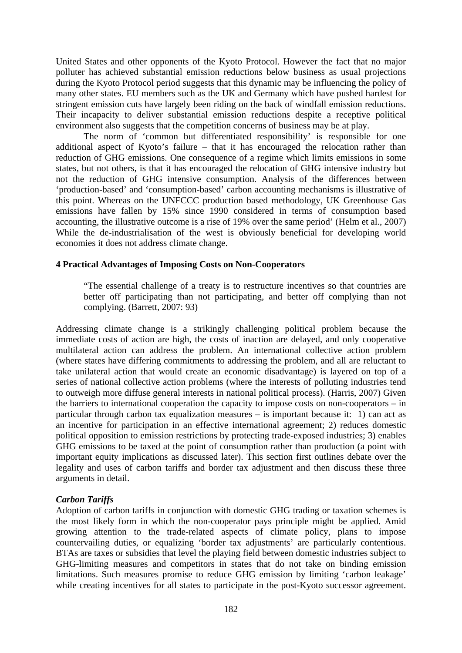United States and other opponents of the Kyoto Protocol. However the fact that no major polluter has achieved substantial emission reductions below business as usual projections during the Kyoto Protocol period suggests that this dynamic may be influencing the policy of many other states. EU members such as the UK and Germany which have pushed hardest for stringent emission cuts have largely been riding on the back of windfall emission reductions. Their incapacity to deliver substantial emission reductions despite a receptive political environment also suggests that the competition concerns of business may be at play.

The norm of 'common but differentiated responsibility' is responsible for one additional aspect of Kyoto's failure – that it has encouraged the relocation rather than reduction of GHG emissions. One consequence of a regime which limits emissions in some states, but not others, is that it has encouraged the relocation of GHG intensive industry but not the reduction of GHG intensive consumption. Analysis of the differences between 'production-based' and 'consumption-based' carbon accounting mechanisms is illustrative of this point. Whereas on the UNFCCC production based methodology, UK Greenhouse Gas emissions have fallen by 15% since 1990 considered in terms of consumption based accounting, the illustrative outcome is a rise of 19% over the same period' (Helm et al., 2007) While the de-industrialisation of the west is obviously beneficial for developing world economies it does not address climate change.

# **4 Practical Advantages of Imposing Costs on Non-Cooperators**

"The essential challenge of a treaty is to restructure incentives so that countries are better off participating than not participating, and better off complying than not complying. (Barrett, 2007: 93)

Addressing climate change is a strikingly challenging political problem because the immediate costs of action are high, the costs of inaction are delayed, and only cooperative multilateral action can address the problem. An international collective action problem (where states have differing commitments to addressing the problem, and all are reluctant to take unilateral action that would create an economic disadvantage) is layered on top of a series of national collective action problems (where the interests of polluting industries tend to outweigh more diffuse general interests in national political process). (Harris, 2007) Given the barriers to international cooperation the capacity to impose costs on non-cooperators – in particular through carbon tax equalization measures – is important because it: 1) can act as an incentive for participation in an effective international agreement; 2) reduces domestic political opposition to emission restrictions by protecting trade-exposed industries; 3) enables GHG emissions to be taxed at the point of consumption rather than production (a point with important equity implications as discussed later). This section first outlines debate over the legality and uses of carbon tariffs and border tax adjustment and then discuss these three arguments in detail.

# *Carbon Tariffs*

Adoption of carbon tariffs in conjunction with domestic GHG trading or taxation schemes is the most likely form in which the non-cooperator pays principle might be applied. Amid growing attention to the trade-related aspects of climate policy, plans to impose countervailing duties, or equalizing 'border tax adjustments' are particularly contentious. BTAs are taxes or subsidies that level the playing field between domestic industries subject to GHG-limiting measures and competitors in states that do not take on binding emission limitations. Such measures promise to reduce GHG emission by limiting 'carbon leakage' while creating incentives for all states to participate in the post-Kyoto successor agreement.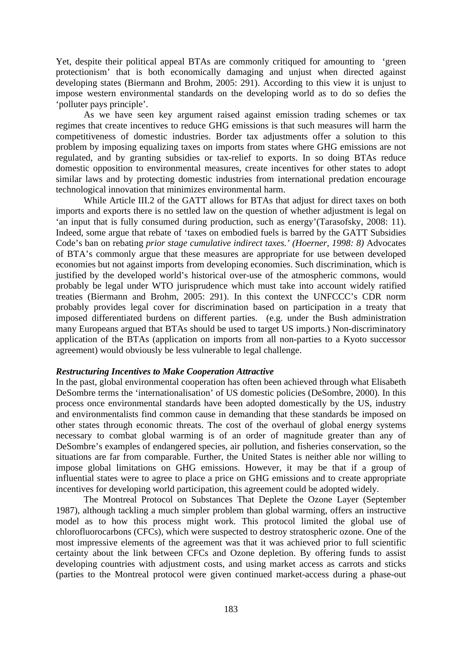Yet, despite their political appeal BTAs are commonly critiqued for amounting to 'green protectionism' that is both economically damaging and unjust when directed against developing states (Biermann and Brohm, 2005: 291). According to this view it is unjust to impose western environmental standards on the developing world as to do so defies the 'polluter pays principle'.

As we have seen key argument raised against emission trading schemes or tax regimes that create incentives to reduce GHG emissions is that such measures will harm the competitiveness of domestic industries. Border tax adjustments offer a solution to this problem by imposing equalizing taxes on imports from states where GHG emissions are not regulated, and by granting subsidies or tax-relief to exports. In so doing BTAs reduce domestic opposition to environmental measures, create incentives for other states to adopt similar laws and by protecting domestic industries from international predation encourage technological innovation that minimizes environmental harm.

While Article III.2 of the GATT allows for BTAs that adjust for direct taxes on both imports and exports there is no settled law on the question of whether adjustment is legal on 'an input that is fully consumed during production, such as energy'(Tarasofsky, 2008: 11). Indeed, some argue that rebate of 'taxes on embodied fuels is barred by the GATT Subsidies Code's ban on rebating *prior stage cumulative indirect taxes.' (Hoerner, 1998: 8)* Advocates of BTA's commonly argue that these measures are appropriate for use between developed economies but not against imports from developing economies. Such discrimination, which is justified by the developed world's historical over-use of the atmospheric commons, would probably be legal under WTO jurisprudence which must take into account widely ratified treaties (Biermann and Brohm, 2005: 291). In this context the UNFCCC's CDR norm probably provides legal cover for discrimination based on participation in a treaty that imposed differentiated burdens on different parties. (e.g. under the Bush administration many Europeans argued that BTAs should be used to target US imports.) Non-discriminatory application of the BTAs (application on imports from all non-parties to a Kyoto successor agreement) would obviously be less vulnerable to legal challenge.

# *Restructuring Incentives to Make Cooperation Attractive*

In the past, global environmental cooperation has often been achieved through what Elisabeth DeSombre terms the 'internationalisation' of US domestic policies (DeSombre, 2000). In this process once environmental standards have been adopted domestically by the US, industry and environmentalists find common cause in demanding that these standards be imposed on other states through economic threats. The cost of the overhaul of global energy systems necessary to combat global warming is of an order of magnitude greater than any of DeSombre's examples of endangered species, air pollution, and fisheries conservation, so the situations are far from comparable. Further, the United States is neither able nor willing to impose global limitations on GHG emissions. However, it may be that if a group of influential states were to agree to place a price on GHG emissions and to create appropriate incentives for developing world participation, this agreement could be adopted widely.

The Montreal Protocol on Substances That Deplete the Ozone Layer (September 1987), although tackling a much simpler problem than global warming, offers an instructive model as to how this process might work. This protocol limited the global use of chlorofluorocarbons (CFCs), which were suspected to destroy stratospheric ozone. One of the most impressive elements of the agreement was that it was achieved prior to full scientific certainty about the link between CFCs and Ozone depletion. By offering funds to assist developing countries with adjustment costs, and using market access as carrots and sticks (parties to the Montreal protocol were given continued market-access during a phase-out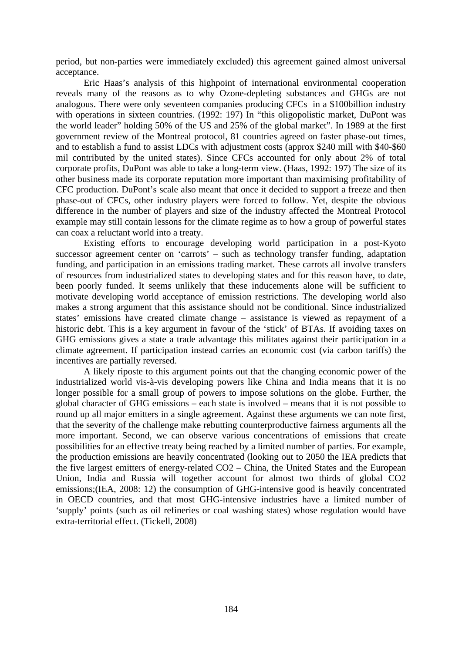period, but non-parties were immediately excluded) this agreement gained almost universal acceptance.

Eric Haas's analysis of this highpoint of international environmental cooperation reveals many of the reasons as to why Ozone-depleting substances and GHGs are not analogous. There were only seventeen companies producing CFCs in a \$100billion industry with operations in sixteen countries. (1992: 197) In "this oligopolistic market, DuPont was the world leader" holding 50% of the US and 25% of the global market". In 1989 at the first government review of the Montreal protocol, 81 countries agreed on faster phase-out times, and to establish a fund to assist LDCs with adjustment costs (approx \$240 mill with \$40-\$60 mil contributed by the united states). Since CFCs accounted for only about 2% of total corporate profits, DuPont was able to take a long-term view. (Haas, 1992: 197) The size of its other business made its corporate reputation more important than maximising profitability of CFC production. DuPont's scale also meant that once it decided to support a freeze and then phase-out of CFCs, other industry players were forced to follow. Yet, despite the obvious difference in the number of players and size of the industry affected the Montreal Protocol example may still contain lessons for the climate regime as to how a group of powerful states can coax a reluctant world into a treaty.

Existing efforts to encourage developing world participation in a post-Kyoto successor agreement center on 'carrots' – such as technology transfer funding, adaptation funding, and participation in an emissions trading market. These carrots all involve transfers of resources from industrialized states to developing states and for this reason have, to date, been poorly funded. It seems unlikely that these inducements alone will be sufficient to motivate developing world acceptance of emission restrictions. The developing world also makes a strong argument that this assistance should not be conditional. Since industrialized states' emissions have created climate change – assistance is viewed as repayment of a historic debt. This is a key argument in favour of the 'stick' of BTAs. If avoiding taxes on GHG emissions gives a state a trade advantage this militates against their participation in a climate agreement. If participation instead carries an economic cost (via carbon tariffs) the incentives are partially reversed.

A likely riposte to this argument points out that the changing economic power of the industrialized world vis-à-vis developing powers like China and India means that it is no longer possible for a small group of powers to impose solutions on the globe. Further, the global character of GHG emissions – each state is involved – means that it is not possible to round up all major emitters in a single agreement. Against these arguments we can note first, that the severity of the challenge make rebutting counterproductive fairness arguments all the more important. Second, we can observe various concentrations of emissions that create possibilities for an effective treaty being reached by a limited number of parties. For example, the production emissions are heavily concentrated (looking out to 2050 the IEA predicts that the five largest emitters of energy-related CO2 – China, the United States and the European Union, India and Russia will together account for almost two thirds of global CO2 emissions;(IEA, 2008: 12) the consumption of GHG-intensive good is heavily concentrated in OECD countries, and that most GHG-intensive industries have a limited number of 'supply' points (such as oil refineries or coal washing states) whose regulation would have extra-territorial effect. (Tickell, 2008)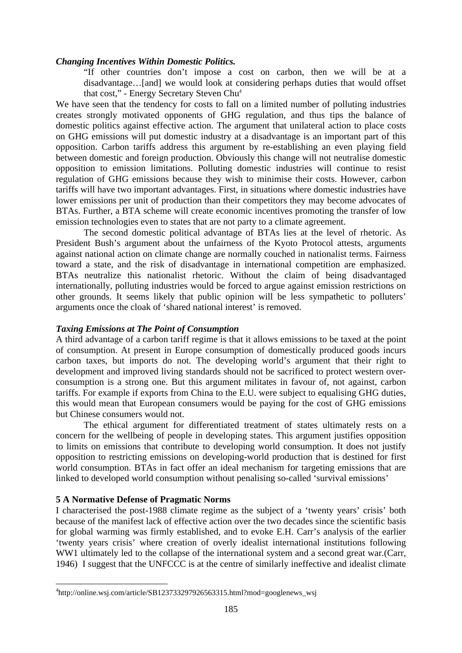#### *Changing Incentives Within Domestic Politics.*

"If other countries don't impose a cost on carbon, then we will be at a disadvantage…[and] we would look at considering perhaps duties that would offset that cost," - Energy Secretary Steven Chu4

We have seen that the tendency for costs to fall on a limited number of polluting industries creates strongly motivated opponents of GHG regulation, and thus tips the balance of domestic politics against effective action. The argument that unilateral action to place costs on GHG emissions will put domestic industry at a disadvantage is an important part of this opposition. Carbon tariffs address this argument by re-establishing an even playing field between domestic and foreign production. Obviously this change will not neutralise domestic opposition to emission limitations. Polluting domestic industries will continue to resist regulation of GHG emissions because they wish to minimise their costs. However, carbon tariffs will have two important advantages. First, in situations where domestic industries have lower emissions per unit of production than their competitors they may become advocates of BTAs. Further, a BTA scheme will create economic incentives promoting the transfer of low emission technologies even to states that are not party to a climate agreement.

 The second domestic political advantage of BTAs lies at the level of rhetoric. As President Bush's argument about the unfairness of the Kyoto Protocol attests, arguments against national action on climate change are normally couched in nationalist terms. Fairness toward a state, and the risk of disadvantage in international competition are emphasized. BTAs neutralize this nationalist rhetoric. Without the claim of being disadvantaged internationally, polluting industries would be forced to argue against emission restrictions on other grounds. It seems likely that public opinion will be less sympathetic to polluters' arguments once the cloak of 'shared national interest' is removed.

#### *Taxing Emissions at The Point of Consumption*

A third advantage of a carbon tariff regime is that it allows emissions to be taxed at the point of consumption. At present in Europe consumption of domestically produced goods incurs carbon taxes, but imports do not. The developing world's argument that their right to development and improved living standards should not be sacrificed to protect western overconsumption is a strong one. But this argument militates in favour of, not against, carbon tariffs. For example if exports from China to the E.U. were subject to equalising GHG duties, this would mean that European consumers would be paying for the cost of GHG emissions but Chinese consumers would not.

The ethical argument for differentiated treatment of states ultimately rests on a concern for the wellbeing of people in developing states. This argument justifies opposition to limits on emissions that contribute to developing world consumption. It does not justify opposition to restricting emissions on developing-world production that is destined for first world consumption. BTAs in fact offer an ideal mechanism for targeting emissions that are linked to developed world consumption without penalising so-called 'survival emissions'

# **5 A Normative Defense of Pragmatic Norms**

 $\overline{\phantom{a}}$ 

I characterised the post-1988 climate regime as the subject of a 'twenty years' crisis' both because of the manifest lack of effective action over the two decades since the scientific basis for global warming was firmly established, and to evoke E.H. Carr's analysis of the earlier 'twenty years crisis' where creation of overly idealist international institutions following WW1 ultimately led to the collapse of the international system and a second great war.(Carr, 1946) I suggest that the UNFCCC is at the centre of similarly ineffective and idealist climate

<sup>4</sup> http://online.wsj.com/article/SB123733297926563315.html?mod=googlenews\_wsj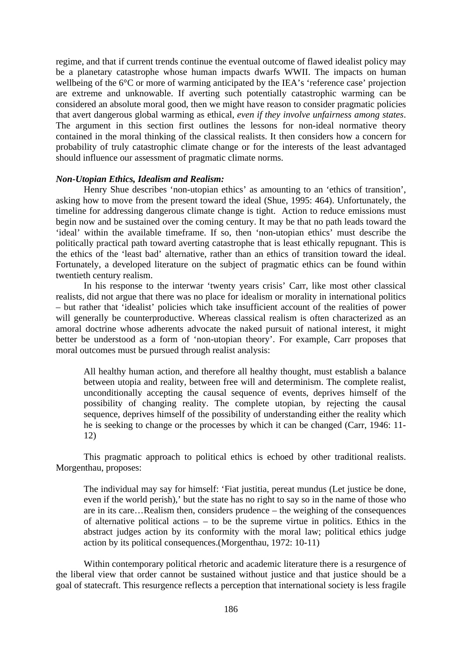regime, and that if current trends continue the eventual outcome of flawed idealist policy may be a planetary catastrophe whose human impacts dwarfs WWII. The impacts on human wellbeing of the 6<sup>o</sup>C or more of warming anticipated by the IEA's 'reference case' projection are extreme and unknowable. If averting such potentially catastrophic warming can be considered an absolute moral good, then we might have reason to consider pragmatic policies that avert dangerous global warming as ethical, *even if they involve unfairness among states*. The argument in this section first outlines the lessons for non-ideal normative theory contained in the moral thinking of the classical realists. It then considers how a concern for probability of truly catastrophic climate change or for the interests of the least advantaged should influence our assessment of pragmatic climate norms.

#### *Non-Utopian Ethics, Idealism and Realism:*

Henry Shue describes 'non-utopian ethics' as amounting to an 'ethics of transition', asking how to move from the present toward the ideal (Shue, 1995: 464). Unfortunately, the timeline for addressing dangerous climate change is tight. Action to reduce emissions must begin now and be sustained over the coming century. It may be that no path leads toward the 'ideal' within the available timeframe. If so, then 'non-utopian ethics' must describe the politically practical path toward averting catastrophe that is least ethically repugnant. This is the ethics of the 'least bad' alternative, rather than an ethics of transition toward the ideal. Fortunately, a developed literature on the subject of pragmatic ethics can be found within twentieth century realism.

In his response to the interwar 'twenty years crisis' Carr, like most other classical realists, did not argue that there was no place for idealism or morality in international politics – but rather that 'idealist' policies which take insufficient account of the realities of power will generally be counterproductive. Whereas classical realism is often characterized as an amoral doctrine whose adherents advocate the naked pursuit of national interest, it might better be understood as a form of 'non-utopian theory'. For example, Carr proposes that moral outcomes must be pursued through realist analysis:

All healthy human action, and therefore all healthy thought, must establish a balance between utopia and reality, between free will and determinism. The complete realist, unconditionally accepting the causal sequence of events, deprives himself of the possibility of changing reality. The complete utopian, by rejecting the causal sequence, deprives himself of the possibility of understanding either the reality which he is seeking to change or the processes by which it can be changed (Carr, 1946: 11- 12)

 This pragmatic approach to political ethics is echoed by other traditional realists. Morgenthau, proposes:

The individual may say for himself: 'Fiat justitia, pereat mundus (Let justice be done, even if the world perish),' but the state has no right to say so in the name of those who are in its care…Realism then, considers prudence – the weighing of the consequences of alternative political actions – to be the supreme virtue in politics. Ethics in the abstract judges action by its conformity with the moral law; political ethics judge action by its political consequences.(Morgenthau, 1972: 10-11)

 Within contemporary political rhetoric and academic literature there is a resurgence of the liberal view that order cannot be sustained without justice and that justice should be a goal of statecraft. This resurgence reflects a perception that international society is less fragile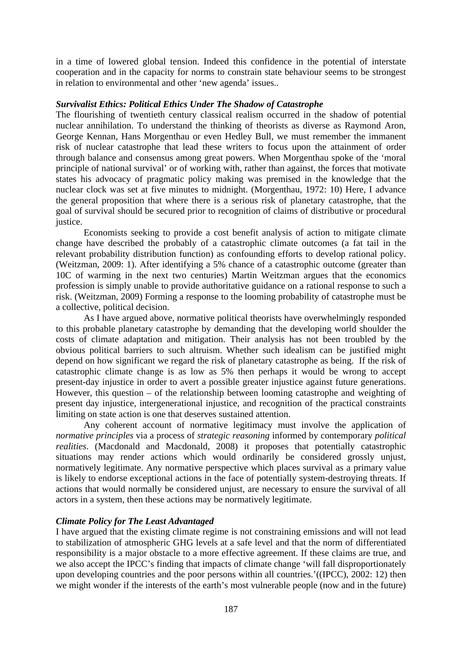in a time of lowered global tension. Indeed this confidence in the potential of interstate cooperation and in the capacity for norms to constrain state behaviour seems to be strongest in relation to environmental and other 'new agenda' issues..

### *Survivalist Ethics: Political Ethics Under The Shadow of Catastrophe*

The flourishing of twentieth century classical realism occurred in the shadow of potential nuclear annihilation. To understand the thinking of theorists as diverse as Raymond Aron, George Kennan, Hans Morgenthau or even Hedley Bull, we must remember the immanent risk of nuclear catastrophe that lead these writers to focus upon the attainment of order through balance and consensus among great powers. When Morgenthau spoke of the 'moral principle of national survival' or of working with, rather than against, the forces that motivate states his advocacy of pragmatic policy making was premised in the knowledge that the nuclear clock was set at five minutes to midnight. (Morgenthau, 1972: 10) Here, I advance the general proposition that where there is a serious risk of planetary catastrophe, that the goal of survival should be secured prior to recognition of claims of distributive or procedural justice.

Economists seeking to provide a cost benefit analysis of action to mitigate climate change have described the probably of a catastrophic climate outcomes (a fat tail in the relevant probability distribution function) as confounding efforts to develop rational policy. (Weitzman, 2009: 1). After identifying a 5% chance of a catastrophic outcome (greater than 10C of warming in the next two centuries) Martin Weitzman argues that the economics profession is simply unable to provide authoritative guidance on a rational response to such a risk. (Weitzman, 2009) Forming a response to the looming probability of catastrophe must be a collective, political decision.

As I have argued above, normative political theorists have overwhelmingly responded to this probable planetary catastrophe by demanding that the developing world shoulder the costs of climate adaptation and mitigation. Their analysis has not been troubled by the obvious political barriers to such altruism. Whether such idealism can be justified might depend on how significant we regard the risk of planetary catastrophe as being. If the risk of catastrophic climate change is as low as 5% then perhaps it would be wrong to accept present-day injustice in order to avert a possible greater injustice against future generations. However, this question – of the relationship between looming catastrophe and weighting of present day injustice, intergenerational injustice, and recognition of the practical constraints limiting on state action is one that deserves sustained attention.

Any coherent account of normative legitimacy must involve the application of *normative principles* via a process of *strategic reasoning* informed by contemporary *political realities*. (Macdonald and Macdonald, 2008) it proposes that potentially catastrophic situations may render actions which would ordinarily be considered grossly unjust, normatively legitimate. Any normative perspective which places survival as a primary value is likely to endorse exceptional actions in the face of potentially system-destroying threats. If actions that would normally be considered unjust, are necessary to ensure the survival of all actors in a system, then these actions may be normatively legitimate.

# *Climate Policy for The Least Advantaged*

I have argued that the existing climate regime is not constraining emissions and will not lead to stabilization of atmospheric GHG levels at a safe level and that the norm of differentiated responsibility is a major obstacle to a more effective agreement. If these claims are true, and we also accept the IPCC's finding that impacts of climate change 'will fall disproportionately upon developing countries and the poor persons within all countries.'((IPCC), 2002: 12) then we might wonder if the interests of the earth's most vulnerable people (now and in the future)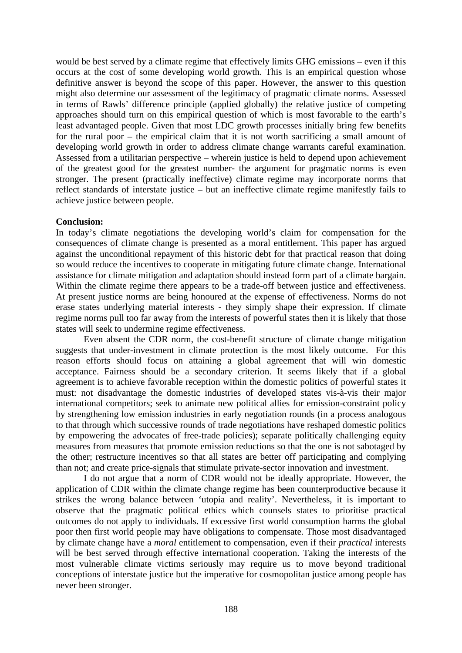would be best served by a climate regime that effectively limits GHG emissions – even if this occurs at the cost of some developing world growth. This is an empirical question whose definitive answer is beyond the scope of this paper. However, the answer to this question might also determine our assessment of the legitimacy of pragmatic climate norms. Assessed in terms of Rawls' difference principle (applied globally) the relative justice of competing approaches should turn on this empirical question of which is most favorable to the earth's least advantaged people. Given that most LDC growth processes initially bring few benefits for the rural poor – the empirical claim that it is not worth sacrificing a small amount of developing world growth in order to address climate change warrants careful examination. Assessed from a utilitarian perspective – wherein justice is held to depend upon achievement of the greatest good for the greatest number- the argument for pragmatic norms is even stronger. The present (practically ineffective) climate regime may incorporate norms that reflect standards of interstate justice – but an ineffective climate regime manifestly fails to achieve justice between people.

#### **Conclusion:**

In today's climate negotiations the developing world's claim for compensation for the consequences of climate change is presented as a moral entitlement. This paper has argued against the unconditional repayment of this historic debt for that practical reason that doing so would reduce the incentives to cooperate in mitigating future climate change. International assistance for climate mitigation and adaptation should instead form part of a climate bargain. Within the climate regime there appears to be a trade-off between justice and effectiveness. At present justice norms are being honoured at the expense of effectiveness. Norms do not erase states underlying material interests - they simply shape their expression. If climate regime norms pull too far away from the interests of powerful states then it is likely that those states will seek to undermine regime effectiveness.

Even absent the CDR norm, the cost-benefit structure of climate change mitigation suggests that under-investment in climate protection is the most likely outcome. For this reason efforts should focus on attaining a global agreement that will win domestic acceptance. Fairness should be a secondary criterion. It seems likely that if a global agreement is to achieve favorable reception within the domestic politics of powerful states it must: not disadvantage the domestic industries of developed states vis-à-vis their major international competitors; seek to animate new political allies for emission-constraint policy by strengthening low emission industries in early negotiation rounds (in a process analogous to that through which successive rounds of trade negotiations have reshaped domestic politics by empowering the advocates of free-trade policies); separate politically challenging equity measures from measures that promote emission reductions so that the one is not sabotaged by the other; restructure incentives so that all states are better off participating and complying than not; and create price-signals that stimulate private-sector innovation and investment.

I do not argue that a norm of CDR would not be ideally appropriate. However, the application of CDR within the climate change regime has been counterproductive because it strikes the wrong balance between 'utopia and reality'. Nevertheless, it is important to observe that the pragmatic political ethics which counsels states to prioritise practical outcomes do not apply to individuals. If excessive first world consumption harms the global poor then first world people may have obligations to compensate. Those most disadvantaged by climate change have a *moral* entitlement to compensation, even if their *practical* interests will be best served through effective international cooperation. Taking the interests of the most vulnerable climate victims seriously may require us to move beyond traditional conceptions of interstate justice but the imperative for cosmopolitan justice among people has never been stronger.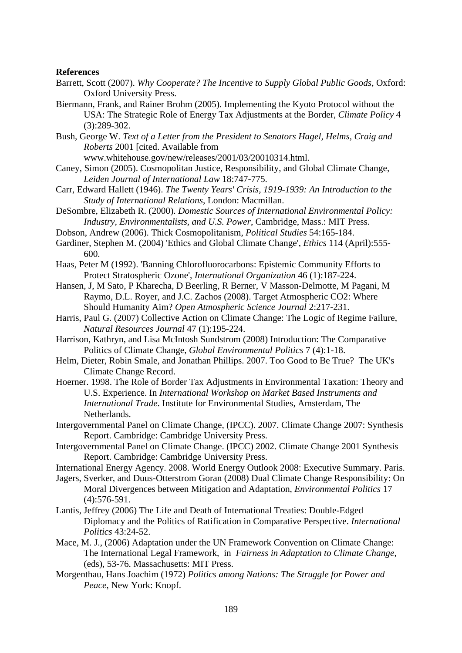#### **References**

- Barrett, Scott (2007). *Why Cooperate? The Incentive to Supply Global Public Goods*, Oxford: Oxford University Press.
- Biermann, Frank, and Rainer Brohm (2005). Implementing the Kyoto Protocol without the USA: The Strategic Role of Energy Tax Adjustments at the Border, *Climate Policy* 4 (3):289-302.
- Bush, George W. *Text of a Letter from the President to Senators Hagel, Helms, Craig and Roberts* 2001 [cited. Available from

www.whitehouse.gov/new/releases/2001/03/20010314.html.

- Caney, Simon (2005). Cosmopolitan Justice, Responsibility, and Global Climate Change, *Leiden Journal of International Law* 18:747-775.
- Carr, Edward Hallett (1946). *The Twenty Years' Crisis, 1919-1939: An Introduction to the Study of International Relations*, London: Macmillan.
- DeSombre, Elizabeth R. (2000). *Domestic Sources of International Environmental Policy: Industry, Environmentalists, and U.S. Power*, Cambridge, Mass.: MIT Press.
- Dobson, Andrew (2006). Thick Cosmopolitanism, *Political Studies* 54:165-184.
- Gardiner, Stephen M. (2004) 'Ethics and Global Climate Change', *Ethics* 114 (April):555- 600.
- Haas, Peter M (1992). 'Banning Chlorofluorocarbons: Epistemic Community Efforts to Protect Stratospheric Ozone', *International Organization* 46 (1):187-224.
- Hansen, J, M Sato, P Kharecha, D Beerling, R Berner, V Masson-Delmotte, M Pagani, M Raymo, D.L. Royer, and J.C. Zachos (2008). Target Atmospheric CO2: Where Should Humanity Aim? *Open Atmospheric Science Journal* 2:217-231.
- Harris, Paul G. (2007) Collective Action on Climate Change: The Logic of Regime Failure, *Natural Resources Journal* 47 (1):195-224.
- Harrison, Kathryn, and Lisa McIntosh Sundstrom (2008) Introduction: The Comparative Politics of Climate Change, *Global Environmental Politics* 7 (4):1-18.
- Helm, Dieter, Robin Smale, and Jonathan Phillips. 2007. Too Good to Be True? The UK's Climate Change Record.
- Hoerner. 1998. The Role of Border Tax Adjustments in Environmental Taxation: Theory and U.S. Experience. In *International Workshop on Market Based Instruments and International Trade*. Institute for Environmental Studies, Amsterdam, The Netherlands.
- Intergovernmental Panel on Climate Change, (IPCC). 2007. Climate Change 2007: Synthesis Report. Cambridge: Cambridge University Press.
- Intergovernmental Panel on Climate Change. (IPCC) 2002. Climate Change 2001 Synthesis Report. Cambridge: Cambridge University Press.
- International Energy Agency. 2008. World Energy Outlook 2008: Executive Summary. Paris.
- Jagers, Sverker, and Duus-Otterstrom Goran (2008) Dual Climate Change Responsibility: On Moral Divergences between Mitigation and Adaptation, *Environmental Politics* 17 (4):576-591.
- Lantis, Jeffrey (2006) The Life and Death of International Treaties: Double-Edged Diplomacy and the Politics of Ratification in Comparative Perspective. *International Politics* 43:24-52.
- Mace, M. J., (2006) Adaptation under the UN Framework Convention on Climate Change: The International Legal Framework, in *Fairness in Adaptation to Climate Change*, (eds), 53-76. Massachusetts: MIT Press.
- Morgenthau, Hans Joachim (1972) *Politics among Nations: The Struggle for Power and Peace*, New York: Knopf.